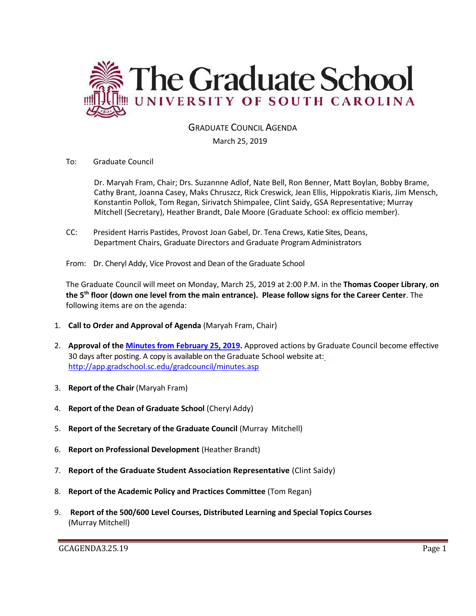

# GRADUATE COUNCIL AGENDA

#### March 25, 2019

To: Graduate Council

Dr. Maryah Fram, Chair; Drs. Suzannne Adlof, Nate Bell, Ron Benner, Matt Boylan, Bobby Brame, Cathy Brant, Joanna Casey, Maks Chruszcz, Rick Creswick, Jean Ellis, Hippokratis Kiaris, Jim Mensch, Konstantin Pollok, Tom Regan, Sirivatch Shimpalee, Clint Saidy, GSA Representative; Murray Mitchell (Secretary), Heather Brandt, Dale Moore (Graduate School: ex officio member).

- CC: President Harris Pastides, Provost Joan Gabel, Dr. Tena Crews, Katie Sites, Deans, Department Chairs, Graduate Directors and Graduate Program Administrators
- From: Dr. Cheryl Addy, Vice Provost and Dean of the Graduate School

The Graduate Council will meet on Monday, March 25, 2019 at 2:00 P.M. in the **Thomas Cooper Library**, **on the 5th floor (down one level from the main entrance). Please follow signs for the Career Center**. The following items are on the agenda:

- 1. **Call to Order and Approval of Agenda** (Maryah Fram, Chair)
- 2. **Approval of the [Minutes from February 25, 2019.](GCMINUTES2.25.19w4Attach.pdf)** Approved actions by Graduate Council become effective 30 days after posting. A copy is available on the Graduate School website at[:](http://app.gradschool.sc.edu/gradcouncil/minutes.asp) <http://app.gradschool.sc.edu/gradcouncil/minutes.asp>
- 3. **Report of the Chair** (Maryah Fram)
- 4. **Report of the Dean of Graduate School** (Cheryl Addy)
- 5. **Report of the Secretary of the Graduate Council** (Murray Mitchell)
- 6. **Report on Professional Development** (Heather Brandt)
- 7. **Report of the Graduate Student Association Representative** (Clint Saidy)
- 8. **Report of the Academic Policy and Practices Committee** (Tom Regan)
- 9. **Report of the 500/600 Level Courses, Distributed Learning and Special Topics Courses** (Murray Mitchell)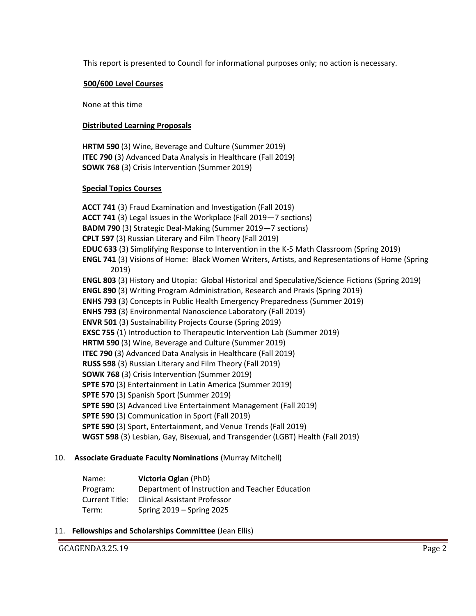This report is presented to Council for informational purposes only; no action is necessary.

#### **500/600 Level Courses**

None at this time

#### **Distributed Learning Proposals**

**HRTM 590** (3) Wine, Beverage and Culture (Summer 2019) **ITEC 790** (3) Advanced Data Analysis in Healthcare (Fall 2019) **SOWK 768** (3) Crisis Intervention (Summer 2019)

#### **Special Topics Courses**

**ACCT 741** (3) Fraud Examination and Investigation (Fall 2019) **ACCT 741** (3) Legal Issues in the Workplace (Fall 2019—7 sections) **BADM 790** (3) Strategic Deal-Making (Summer 2019—7 sections) **CPLT 597** (3) Russian Literary and Film Theory (Fall 2019) **EDUC 633** (3) Simplifying Response to Intervention in the K-5 Math Classroom (Spring 2019) **ENGL 741** (3) Visions of Home: Black Women Writers, Artists, and Representations of Home (Spring 2019) **ENGL 803** (3) History and Utopia: Global Historical and Speculative/Science Fictions (Spring 2019) **ENGL 890** (3) Writing Program Administration, Research and Praxis (Spring 2019) **ENHS 793** (3) Concepts in Public Health Emergency Preparedness (Summer 2019) **ENHS 793** (3) Environmental Nanoscience Laboratory (Fall 2019) **ENVR 501** (3) Sustainability Projects Course (Spring 2019) **EXSC 755** (1) Introduction to Therapeutic Intervention Lab (Summer 2019) **HRTM 590** (3) Wine, Beverage and Culture (Summer 2019) **ITEC 790** (3) Advanced Data Analysis in Healthcare (Fall 2019) **RUSS 598** (3) Russian Literary and Film Theory (Fall 2019) **SOWK 768** (3) Crisis Intervention (Summer 2019) **SPTE 570** (3) Entertainment in Latin America (Summer 2019) **SPTE 570** (3) Spanish Sport (Summer 2019) **SPTE 590** (3) Advanced Live Entertainment Management (Fall 2019) **SPTE 590** (3) Communication in Sport (Fall 2019) **SPTE 590** (3) Sport, Entertainment, and Venue Trends (Fall 2019) **WGST 598** (3) Lesbian, Gay, Bisexual, and Transgender (LGBT) Health (Fall 2019)

# 10. **Associate Graduate Faculty Nominations** (Murray Mitchell)

| Name:          | Victoria Oglan (PhD)                            |
|----------------|-------------------------------------------------|
| Program:       | Department of Instruction and Teacher Education |
| Current Title: | <b>Clinical Assistant Professor</b>             |
| Term:          | Spring $2019 -$ Spring 2025                     |

# 11. **Fellowships and Scholarships Committee** (Jean Ellis)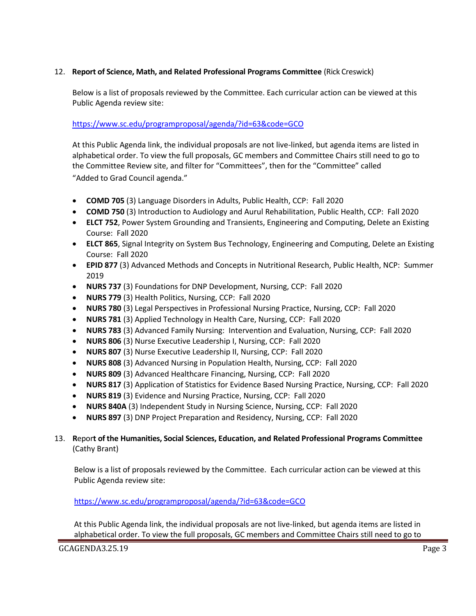# 12. **Report of Science, Math, and Related Professional Programs Committee** (Rick Creswick)

Below is a list of proposals reviewed by the Committee. Each curricular action can be viewed at this Public Agenda review site:

### <https://www.sc.edu/programproposal/agenda/?id=63&code=GCO>

At this Public Agenda link, the individual proposals are not live-linked, but agenda items are listed in alphabetical order. To view the full proposals, GC members and Committee Chairs still need to go to the Committee Review site, and filter for "Committees", then for the "Committee" called "Added to Grad Council agenda."

- **COMD 705** (3) Language Disorders in Adults, Public Health, CCP: Fall 2020
- **COMD 750** (3) Introduction to Audiology and Aurul Rehabilitation, Public Health, CCP: Fall 2020
- **ELCT 752**, Power System Grounding and Transients, Engineering and Computing, Delete an Existing Course: Fall 2020
- **ELCT 865**, Signal Integrity on System Bus Technology, Engineering and Computing, Delete an Existing Course: Fall 2020
- **EPID 877** (3) Advanced Methods and Concepts in Nutritional Research, Public Health, NCP: Summer 2019
- **NURS 737** (3) Foundations for DNP Development, Nursing, CCP: Fall 2020
- **NURS 779** (3) Health Politics, Nursing, CCP: Fall 2020
- **NURS 780** (3) Legal Perspectives in Professional Nursing Practice, Nursing, CCP: Fall 2020
- **NURS 781** (3) Applied Technology in Health Care, Nursing, CCP: Fall 2020
- **NURS 783** (3) Advanced Family Nursing: Intervention and Evaluation, Nursing, CCP: Fall 2020
- **NURS 806** (3) Nurse Executive Leadership I, Nursing, CCP: Fall 2020
- **NURS 807** (3) Nurse Executive Leadership II, Nursing, CCP: Fall 2020
- **NURS 808** (3) Advanced Nursing in Population Health, Nursing, CCP: Fall 2020
- **NURS 809** (3) Advanced Healthcare Financing, Nursing, CCP: Fall 2020
- **NURS 817** (3) Application of Statistics for Evidence Based Nursing Practice, Nursing, CCP: Fall 2020
- **NURS 819** (3) Evidence and Nursing Practice, Nursing, CCP: Fall 2020
- **NURS 840A** (3) Independent Study in Nursing Science, Nursing, CCP: Fall 2020
- **NURS 897** (3) DNP Project Preparation and Residency, Nursing, CCP: Fall 2020

# 13. **R**epor**t of the Humanities, Social Sciences, Education, and Related Professional Programs Committee**  (Cathy Brant)

Below is a list of proposals reviewed by the Committee. Each curricular action can be viewed at this Public Agenda review site:

#### <https://www.sc.edu/programproposal/agenda/?id=63&code=GCO>

At this Public Agenda link, the individual proposals are not live-linked, but agenda items are listed in alphabetical order. To view the full proposals, GC members and Committee Chairs still need to go to